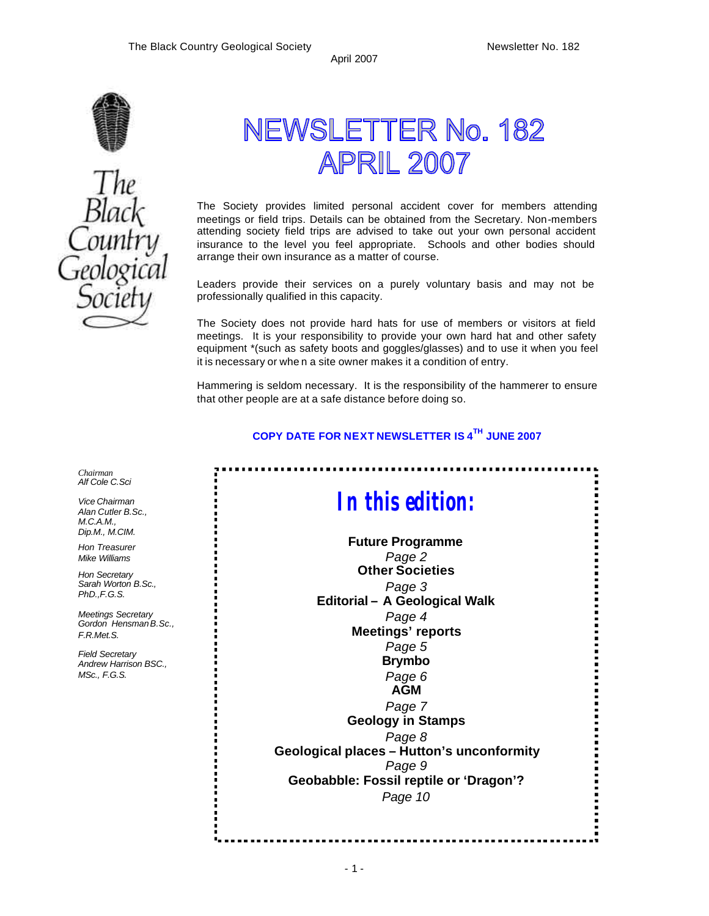79



# The<br>Black<br>Country eologica

## NEWSLETTER No. 182 **APRIL 2007**

The Society provides limited personal accident cover for members attending meetings or field trips. Details can be obtained from the Secretary. Non-members attending society field trips are advised to take out your own personal accident insurance to the level you feel appropriate. Schools and other bodies should arrange their own insurance as a matter of course.

Leaders provide their services on a purely voluntary basis and may not be professionally qualified in this capacity.

The Society does not provide hard hats for use of members or visitors at field meetings. It is your responsibility to provide your own hard hat and other safety equipment \*(such as safety boots and goggles/glasses) and to use it when you feel it is necessary or whe n a site owner makes it a condition of entry.

Hammering is seldom necessary. It is the responsibility of the hammerer to ensure that other people are at a safe distance before doing so.

#### **COPY DATE FOR NEXT NEWSLETTER IS 4 TH JUNE 2007**

*Chairman Alf Cole C.Sci*

> *Vice Chairman Alan Cutler B.Sc., M.C.A.M., Dip.M., M.CIM.*

*Hon Treasurer Mike Williams* 

*Hon Secretary Sarah Worton B.Sc., PhD.,F.G.S.*

*Meetings Secretary Gordon Hensman B.Sc., F.R.Met.S.*

*Field Secretary Andrew Harrison BSC., MSc., F.G.S.*

*In this edition:*

**Future Programme** *Page 2* **Other Societies** *Page 3* **Editorial – A Geological Walk** *Page 4* **Meetings' reports**  *Page 5* **Brymbo** *Page 6* **AGM** *Page 7* **Geology in Stamps** *Page 8* **Geological places – Hutton's unconformity** *Page 9* **Geobabble: Fossil reptile or 'Dragon'?** *Page 10*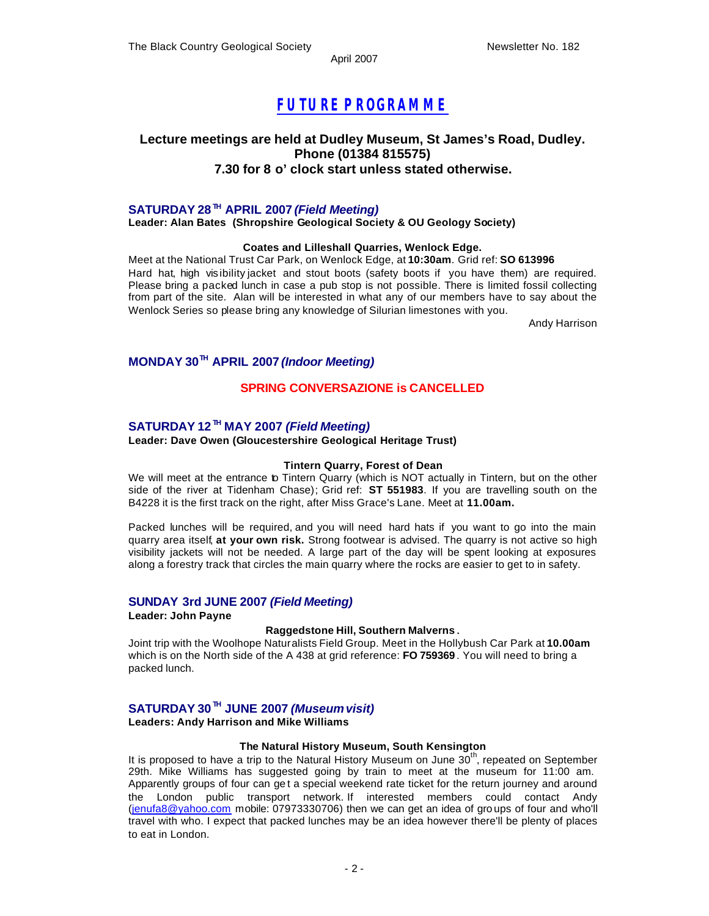## *FUTURE P ROGRAMME*

#### **Lecture meetings are held at Dudley Museum, St James's Road, Dudley. Phone (01384 815575) 7.30 for 8 o' clock start unless stated otherwise.**

#### **SATURDAY 28 TH APRIL 2007** *(Field Meeting)*

**Leader: Alan Bates (Shropshire Geological Society & OU Geology Society)**

#### **Coates and Lilleshall Quarries, Wenlock Edge.**

Meet at the National Trust Car Park, on Wenlock Edge, at **10:30am**. Grid ref: **SO 613996** Hard hat, high vis ibility jacket and stout boots (safety boots if you have them) are required. Please bring a packed lunch in case a pub stop is not possible. There is limited fossil collecting from part of the site. Alan will be interested in what any of our members have to say about the Wenlock Series so please bring any knowledge of Silurian limestones with you.

Andy Harrison

#### **MONDAY 30TH APRIL 2007** *(Indoor Meeting)*

#### **SPRING CONVERSAZIONE is CANCELLED**

#### **SATURDAY 12 TH MAY 2007** *(Field Meeting)*

#### **Leader: Dave Owen (Gloucestershire Geological Heritage Trust)**

#### **Tintern Quarry, Forest of Dean**

We will meet at the entrance to Tintern Quarry (which is NOT actually in Tintern, but on the other side of the river at Tidenham Chase); Grid ref: **ST 551983**. If you are travelling south on the B4228 it is the first track on the right, after Miss Grace's Lane. Meet at **11.00am.**

Packed lunches will be required, and you will need hard hats if you want to go into the main quarry area itself, **at your own risk.** Strong footwear is advised. The quarry is not active so high visibility jackets will not be needed. A large part of the day will be spent looking at exposures along a forestry track that circles the main quarry where the rocks are easier to get to in safety.

#### **SUNDAY 3rd JUNE 2007** *(Field Meeting)*

**Leader: John Payne**

#### **Raggedstone Hill, Southern Malverns** .

Joint trip with the Woolhope Naturalists Field Group. Meet in the Hollybush Car Park at **10.00am**  which is on the North side of the A 438 at grid reference: **FO 759369** . You will need to bring a packed lunch.

### **SATURDAY 30 TH JUNE 2007** *(Museum visit)*

**Leaders: Andy Harrison and Mike Williams**

#### **The Natural History Museum, South Kensington**

It is proposed to have a trip to the Natural History Museum on June 30<sup>th</sup>, repeated on September 29th. Mike Williams has suggested going by train to meet at the museum for 11:00 am. Apparently groups of four can ge t a special weekend rate ticket for the return journey and around the London public transport network. If interested members could contact Andy (jenufa8@yahoo.com mobile: 07973330706) then we can get an idea of gro ups of four and who'll travel with who. I expect that packed lunches may be an idea however there'll be plenty of places to eat in London.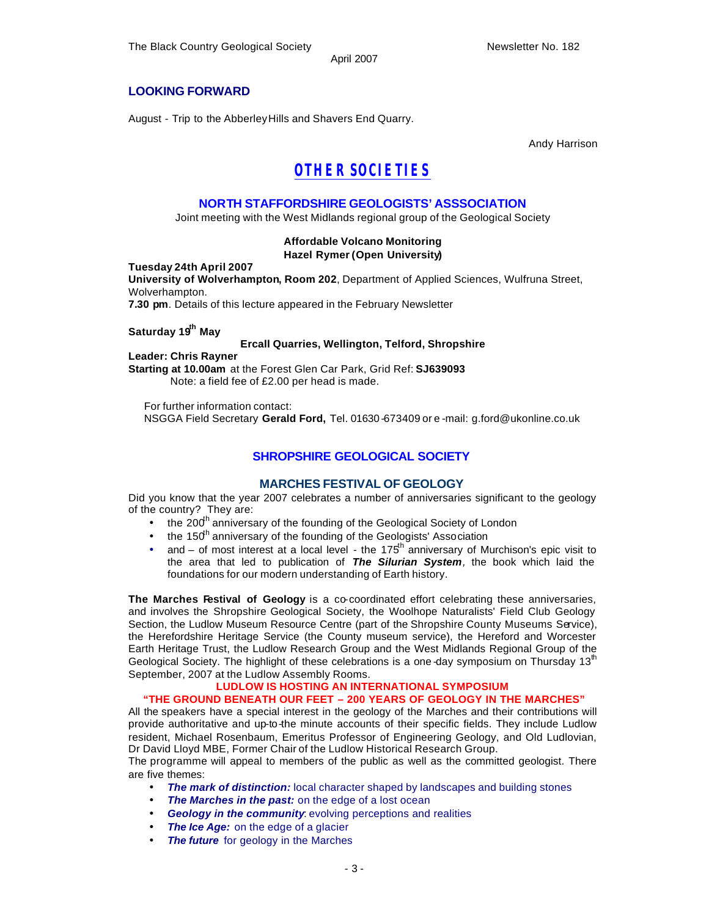#### **LOOKING FORWARD**

August - Trip to the Abberley Hills and Shavers End Quarry.

Andy Harrison

## *OTHER SOCIETIES*

#### **NORTH STAFFORDSHIRE GEOLOGISTS' ASSSOCIATION**

Joint meeting with the West Midlands regional group of the Geological Society

#### **Affordable Volcano Monitoring Hazel Rymer (Open University)**

#### **Tuesday 24th April 2007**

**University of Wolverhampton, Room 202**, Department of Applied Sciences, Wulfruna Street, Wolverhampton.

**7.30 pm**. Details of this lecture appeared in the February Newsletter

#### **Saturday 19th May**

#### **Ercall Quarries, Wellington, Telford, Shropshire**

**Leader: Chris Rayner Starting at 10.00am** at the Forest Glen Car Park, Grid Ref: **SJ639093** Note: a field fee of £2.00 per head is made.

For further information contact: NSGGA Field Secretary **Gerald Ford,** Tel. 01630 -673409 or e -mail: g.ford@ukonline.co.uk

#### **SHROPSHIRE GEOLOGICAL SOCIETY**

#### **MARCHES FESTIVAL OF GEOLOGY**

Did you know that the year 2007 celebrates a number of anniversaries significant to the geology of the country? They are:

- the 200<sup>th</sup> anniversary of the founding of the Geological Society of London
- the 150<sup>th</sup> anniversary of the founding of the Geologists' Association
- and of most interest at a local level the 175<sup>th</sup> anniversary of Murchison's epic visit to the area that led to publication of *The Silurian System,* the book which laid the foundations for our modern understanding of Earth history.

**The Marches Festival of Geology** is a co-coordinated effort celebrating these anniversaries, and involves the Shropshire Geological Society, the Woolhope Naturalists' Field Club Geology Section, the Ludlow Museum Resource Centre (part of the Shropshire County Museums Service), the Herefordshire Heritage Service (the County museum service), the Hereford and Worcester Earth Heritage Trust, the Ludlow Research Group and the West Midlands Regional Group of the Geological Society. The highlight of these celebrations is a one-day symposium on Thursday  $13<sup>th</sup>$ September, 2007 at the Ludlow Assembly Rooms.

#### **LUDLOW IS HOSTING AN INTERNATIONAL SYMPOSIUM "THE GROUND BENEATH OUR FEET – 200 YEARS OF GEOLOGY IN THE MARCHES"**

All the speakers have a special interest in the geology of the Marches and their contributions will provide authoritative and up-to-the minute accounts of their specific fields. They include Ludlow resident, Michael Rosenbaum, Emeritus Professor of Engineering Geology, and Old Ludlovian, Dr David Lloyd MBE, Former Chair of the Ludlow Historical Research Group.

The programme will appeal to members of the public as well as the committed geologist. There are five themes:

- **The mark of distinction:** local character shaped by landscapes and building stones
- **The Marches in the past:** on the edge of a lost ocean
- **Geology in the community:** evolving perceptions and realities
- **The Ice Age:** on the edge of a glacier
- **The future** for geology in the Marches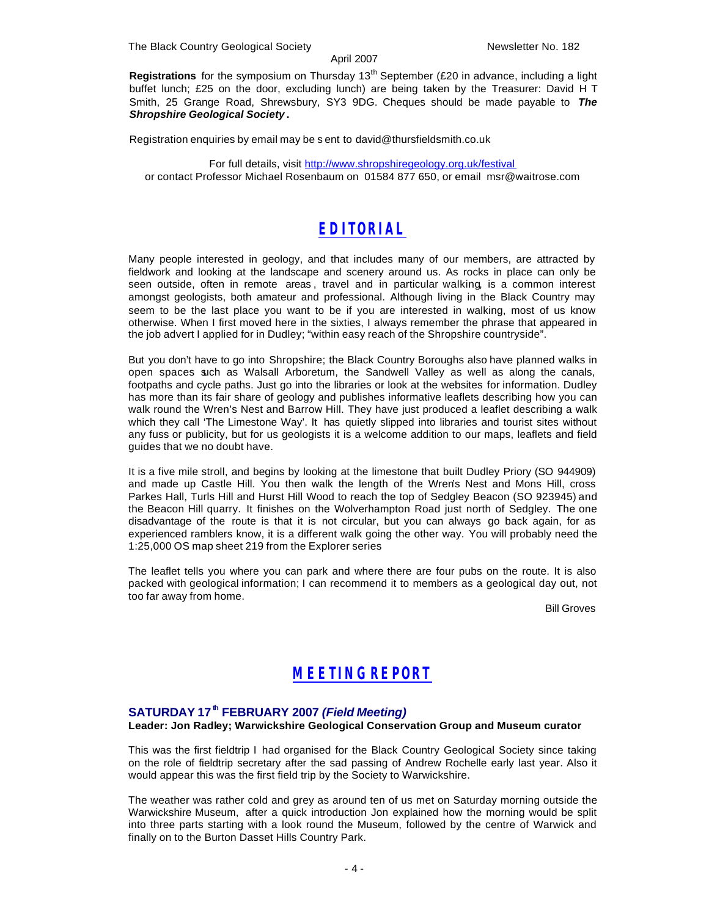The Black Country Geological Society Newsletter No. 182

#### April 2007

**Registrations** for the symposium on Thursday 13<sup>th</sup> September (£20 in advance, including a light buffet lunch; £25 on the door, excluding lunch) are being taken by the Treasurer: David H T Smith, 25 Grange Road, Shrewsbury, SY3 9DG. Cheques should be made payable to *The Shropshire Geological Society* **.**

Registration enquiries by email may be s ent to david@thursfieldsmith.co.uk

For full details, visit http://www.shropshiregeology.org.uk/festival or contact Professor Michael Rosenbaum on 01584 877 650, or email msr@waitrose.com

## *EDITORIAL*

Many people interested in geology, and that includes many of our members, are attracted by fieldwork and looking at the landscape and scenery around us. As rocks in place can only be seen outside, often in remote areas , travel and in particular walking, is a common interest amongst geologists, both amateur and professional. Although living in the Black Country may seem to be the last place you want to be if you are interested in walking, most of us know otherwise. When I first moved here in the sixties, I always remember the phrase that appeared in the job advert I applied for in Dudley; "within easy reach of the Shropshire countryside".

But you don't have to go into Shropshire; the Black Country Boroughs also have planned walks in open spaces such as Walsall Arboretum, the Sandwell Valley as well as along the canals, footpaths and cycle paths. Just go into the libraries or look at the websites for information. Dudley has more than its fair share of geology and publishes informative leaflets describing how you can walk round the Wren's Nest and Barrow Hill. They have just produced a leaflet describing a walk which they call 'The Limestone Way'. It has quietly slipped into libraries and tourist sites without any fuss or publicity, but for us geologists it is a welcome addition to our maps, leaflets and field guides that we no doubt have.

It is a five mile stroll, and begins by looking at the limestone that built Dudley Priory (SO 944909) and made up Castle Hill. You then walk the length of the Wren's Nest and Mons Hill, cross Parkes Hall, Turls Hill and Hurst Hill Wood to reach the top of Sedgley Beacon (SO 923945) and the Beacon Hill quarry. It finishes on the Wolverhampton Road just north of Sedgley. The one disadvantage of the route is that it is not circular, but you can always go back again, for as experienced ramblers know, it is a different walk going the other way. You will probably need the 1:25,000 OS map sheet 219 from the Explorer series

The leaflet tells you where you can park and where there are four pubs on the route. It is also packed with geological information; I can recommend it to members as a geological day out, not too far away from home.

Bill Groves

## *MEETING REPORT*

#### **SATURDAY 17th FEBRUARY 2007** *(Field Meeting)*

#### **Leader: Jon Radley; Warwickshire Geological Conservation Group and Museum curator**

This was the first fieldtrip I had organised for the Black Country Geological Society since taking on the role of fieldtrip secretary after the sad passing of Andrew Rochelle early last year. Also it would appear this was the first field trip by the Society to Warwickshire.

The weather was rather cold and grey as around ten of us met on Saturday morning outside the Warwickshire Museum, after a quick introduction Jon explained how the morning would be split into three parts starting with a look round the Museum, followed by the centre of Warwick and finally on to the Burton Dasset Hills Country Park.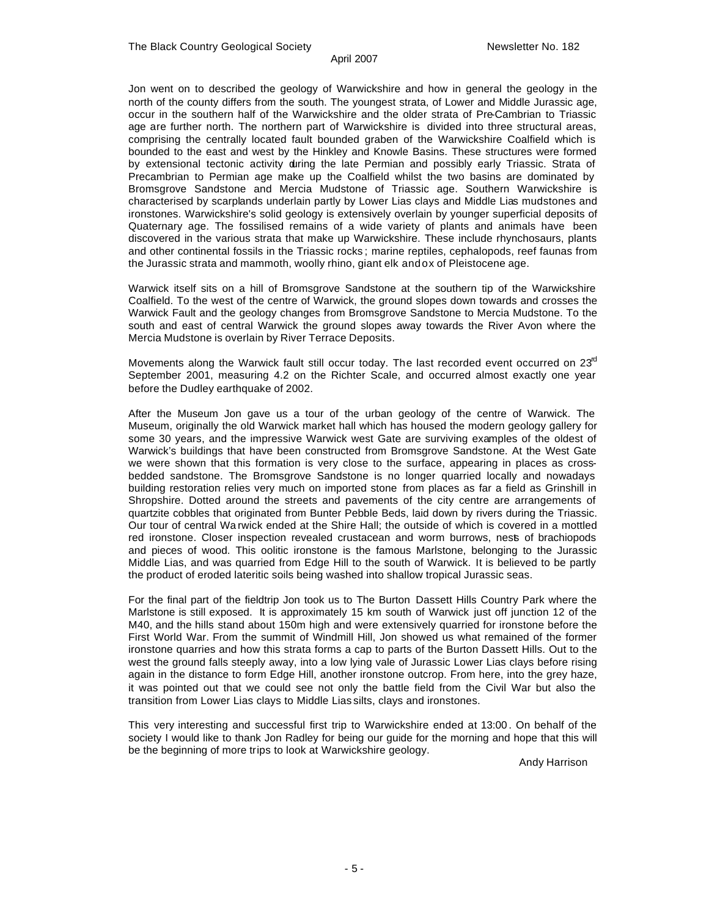Jon went on to described the geology of Warwickshire and how in general the geology in the north of the county differs from the south. The youngest strata, of Lower and Middle Jurassic age, occur in the southern half of the Warwickshire and the older strata of Pre-Cambrian to Triassic age are further north. The northern part of Warwickshire is divided into three structural areas, comprising the centrally located fault bounded graben of the Warwickshire Coalfield which is bounded to the east and west by the Hinkley and Knowle Basins. These structures were formed by extensional tectonic activity during the late Permian and possibly early Triassic. Strata of Precambrian to Permian age make up the Coalfield whilst the two basins are dominated by Bromsgrove Sandstone and Mercia Mudstone of Triassic age. Southern Warwickshire is characterised by scarplands underlain partly by Lower Lias clays and Middle Lias mudstones and ironstones. Warwickshire's solid geology is extensively overlain by younger superficial deposits of Quaternary age. The fossilised remains of a wide variety of plants and animals have been discovered in the various strata that make up Warwickshire. These include rhynchosaurs, plants and other continental fossils in the Triassic rocks ; marine reptiles, cephalopods, reef faunas from the Jurassic strata and mammoth, woolly rhino, giant elk and ox of Pleistocene age.

Warwick itself sits on a hill of Bromsgrove Sandstone at the southern tip of the Warwickshire Coalfield. To the west of the centre of Warwick, the ground slopes down towards and crosses the Warwick Fault and the geology changes from Bromsgrove Sandstone to Mercia Mudstone. To the south and east of central Warwick the ground slopes away towards the River Avon where the Mercia Mudstone is overlain by River Terrace Deposits.

Movements along the Warwick fault still occur today. The last recorded event occurred on  $23<sup>rd</sup>$ September 2001, measuring 4.2 on the Richter Scale, and occurred almost exactly one year before the Dudley earthquake of 2002.

After the Museum Jon gave us a tour of the urban geology of the centre of Warwick. The Museum, originally the old Warwick market hall which has housed the modern geology gallery for some 30 years, and the impressive Warwick west Gate are surviving examples of the oldest of Warwick's buildings that have been constructed from Bromsgrove Sandstone. At the West Gate we were shown that this formation is very close to the surface, appearing in places as crossbedded sandstone. The Bromsgrove Sandstone is no longer quarried locally and nowadays building restoration relies very much on imported stone from places as far a field as Grinshill in Shropshire. Dotted around the streets and pavements of the city centre are arrangements of quartzite cobbles that originated from Bunter Pebble Beds, laid down by rivers during the Triassic. Our tour of central Wa rwick ended at the Shire Hall; the outside of which is covered in a mottled red ironstone. Closer inspection revealed crustacean and worm burrows, nests of brachiopods and pieces of wood. This oolitic ironstone is the famous Marlstone, belonging to the Jurassic Middle Lias, and was quarried from Edge Hill to the south of Warwick. It is believed to be partly the product of eroded lateritic soils being washed into shallow tropical Jurassic seas.

For the final part of the fieldtrip Jon took us to The Burton Dassett Hills Country Park where the Marlstone is still exposed. It is approximately 15 km south of Warwick just off junction 12 of the M40, and the hills stand about 150m high and were extensively quarried for ironstone before the First World War. From the summit of Windmill Hill, Jon showed us what remained of the former ironstone quarries and how this strata forms a cap to parts of the Burton Dassett Hills. Out to the west the ground falls steeply away, into a low lying vale of Jurassic Lower Lias clays before rising again in the distance to form Edge Hill, another ironstone outcrop. From here, into the grey haze, it was pointed out that we could see not only the battle field from the Civil War but also the transition from Lower Lias clays to Middle Lias silts, clays and ironstones.

This very interesting and successful first trip to Warwickshire ended at 13:00 . On behalf of the society I would like to thank Jon Radley for being our guide for the morning and hope that this will be the beginning of more trips to look at Warwickshire geology.

Andy Harrison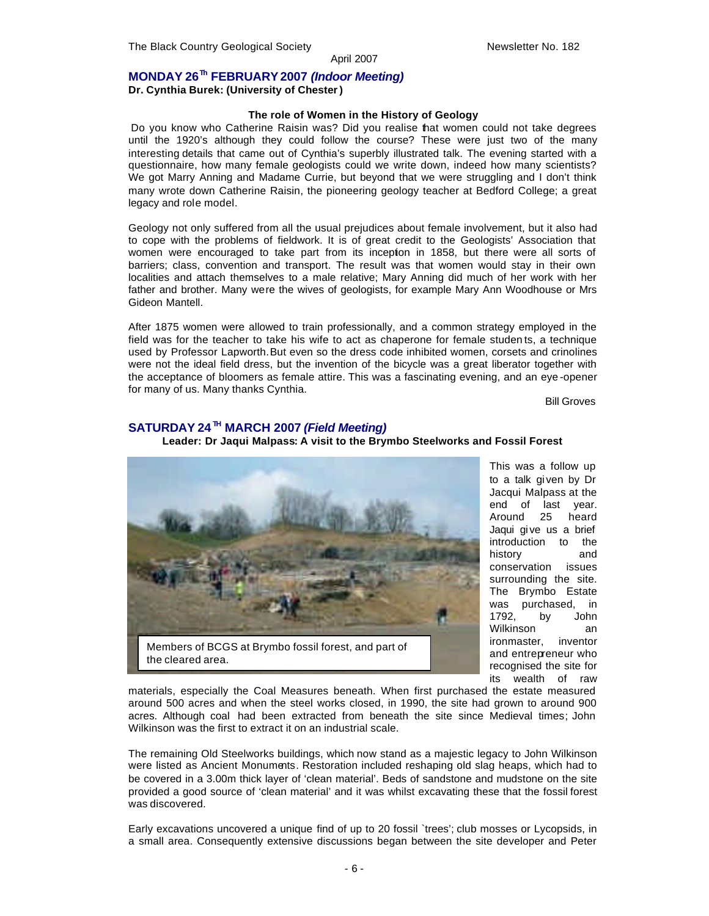#### **MONDAY 26Th FEBRUARY 2007** *(Indoor Meeting)*

**Dr. Cynthia Burek: (University of Chester)** 

#### **The role of Women in the History of Geology**

Do you know who Catherine Raisin was? Did you realise that women could not take degrees until the 1920's although they could follow the course? These were just two of the many interesting details that came out of Cynthia's superbly illustrated talk. The evening started with a questionnaire, how many female geologists could we write down, indeed how many scientists? We got Marry Anning and Madame Currie, but beyond that we were struggling and I don't think many wrote down Catherine Raisin, the pioneering geology teacher at Bedford College; a great legacy and role model.

Geology not only suffered from all the usual prejudices about female involvement, but it also had to cope with the problems of fieldwork. It is of great credit to the Geologists' Association that women were encouraged to take part from its inception in 1858, but there were all sorts of barriers; class, convention and transport. The result was that women would stay in their own localities and attach themselves to a male relative; Mary Anning did much of her work with her father and brother. Many were the wives of geologists, for example Mary Ann Woodhouse or Mrs Gideon Mantell.

After 1875 women were allowed to train professionally, and a common strategy employed in the field was for the teacher to take his wife to act as chaperone for female studen ts, a technique used by Professor Lapworth. But even so the dress code inhibited women, corsets and crinolines were not the ideal field dress, but the invention of the bicycle was a great liberator together with the acceptance of bloomers as female attire. This was a fascinating evening, and an eye -opener for many of us. Many thanks Cynthia.

Bill Groves

#### **SATURDAY 24 TH MARCH 2007** *(Field Meeting)*

**Leader: Dr Jaqui Malpass: A visit to the Brymbo Steelworks and Fossil Forest**



This was a follow up to a talk given by Dr Jacqui Malpass at the end of last year. Around 25 heard Jaqui gi ve us a brief introduction to the history and conservation issues surrounding the site. The Brymbo Estate was purchased, in 1792, by John Wilkinson an ironmaster, inventor and entrepreneur who recognised the site for its wealth of raw

materials, especially the Coal Measures beneath. When first purchased the estate measured around 500 acres and when the steel works closed, in 1990, the site had grown to around 900 acres. Although coal had been extracted from beneath the site since Medieval times; John Wilkinson was the first to extract it on an industrial scale.

The remaining Old Steelworks buildings, which now stand as a majestic legacy to John Wilkinson were listed as Ancient Monuments. Restoration included reshaping old slag heaps, which had to be covered in a 3.00m thick layer of 'clean material'. Beds of sandstone and mudstone on the site provided a good source of 'clean material' and it was whilst excavating these that the fossil forest was discovered.

Early excavations uncovered a unique find of up to 20 fossil `trees'; club mosses or Lycopsids, in a small area. Consequently extensive discussions began between the site developer and Peter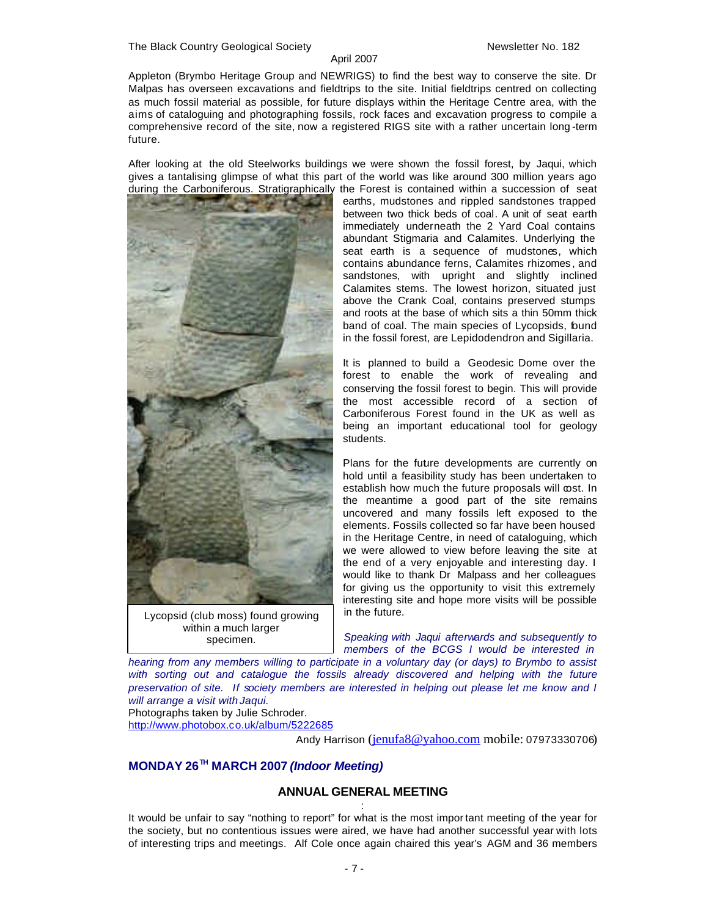Appleton (Brymbo Heritage Group and NEWRIGS) to find the best way to conserve the site. Dr Malpas has overseen excavations and fieldtrips to the site. Initial fieldtrips centred on collecting as much fossil material as possible, for future displays within the Heritage Centre area, with the aims of cataloguing and photographing fossils, rock faces and excavation progress to compile a comprehensive record of the site, now a registered RIGS site with a rather uncertain long -term future.

After looking at the old Steelworks buildings we were shown the fossil forest, by Jaqui, which gives a tantalising glimpse of what this part of the world was like around 300 million years ago during the Carboniferous. Stratigraphically the Forest is contained within a succession of seat



Lycopsid (club moss) found growing within a much larger specimen.

earths, mudstones and rippled sandstones trapped between two thick beds of coal. A unit of seat earth immediately underneath the 2 Yard Coal contains abundant Stigmaria and Calamites. Underlying the seat earth is a sequence of mudstones, which contains abundance ferns, Calamites rhizomes , and sandstones, with upright and slightly inclined Calamites stems. The lowest horizon, situated just above the Crank Coal, contains preserved stumps and roots at the base of which sits a thin 50mm thick band of coal. The main species of Lycopsids, found in the fossil forest, are Lepidodendron and Sigillaria.

It is planned to build a Geodesic Dome over the forest to enable the work of revealing and conserving the fossil forest to begin. This will provide the most accessible record of a section of Carboniferous Forest found in the UK as well as being an important educational tool for geology students.

Plans for the future developments are currently on hold until a feasibility study has been undertaken to establish how much the future proposals will cost. In the meantime a good part of the site remains uncovered and many fossils left exposed to the elements. Fossils collected so far have been housed in the Heritage Centre, in need of cataloguing, which we were allowed to view before leaving the site at the end of a very enjoyable and interesting day. I would like to thank Dr Malpass and her colleagues for giving us the opportunity to visit this extremely interesting site and hope more visits will be possible in the future.

*Speaking with Jaqui afterwards and subsequently to members of the BCGS I would be interested in* 

*hearing from any members willing to participate in a voluntary day (or days) to Brymbo to assist with sorting out and catalogue the fossils already discovered and helping with the future preservation of site. If society members are interested in helping out please let me know and I will arrange a visit with Jaqui.*

Photographs taken by Julie Schroder.

http://www.photobox.co.uk/album/5222685

Andy Harrison (jenufa8@yahoo.com mobile: 07973330706)

## **MONDAY 26TH MARCH 2007** *(Indoor Meeting)*

#### **ANNUAL GENERAL MEETING** :

It would be unfair to say "nothing to report" for what is the most impor tant meeting of the year for the society, but no contentious issues were aired, we have had another successful year with lots of interesting trips and meetings. Alf Cole once again chaired this year's AGM and 36 members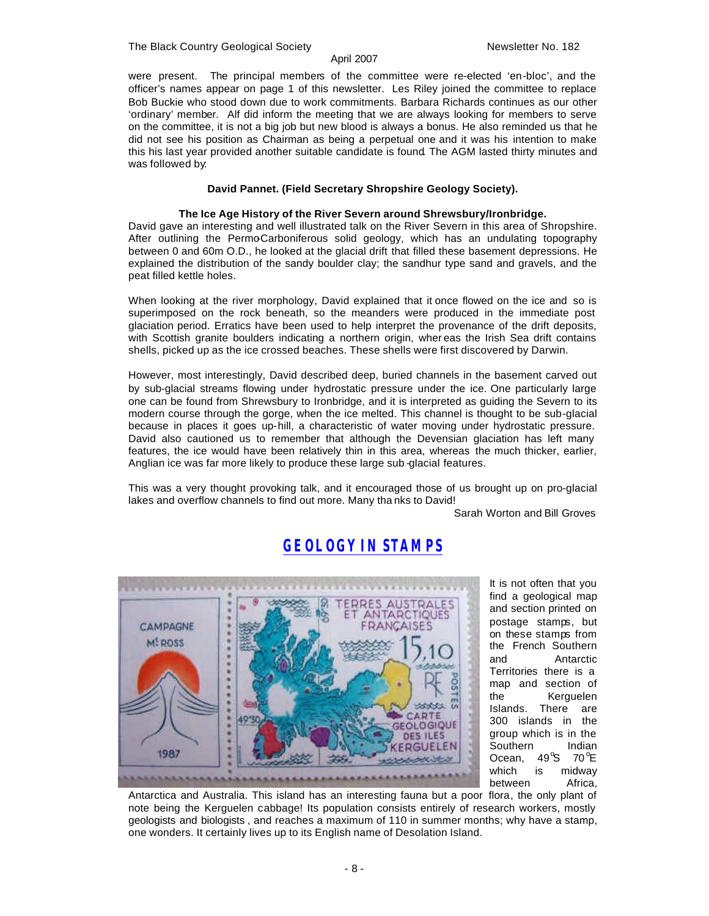#### The Black Country Geological Society Newsletter No. 182

#### April 2007

were present. The principal members of the committee were re-elected 'en-bloc', and the officer's names appear on page 1 of this newsletter. Les Riley joined the committee to replace Bob Buckie who stood down due to work commitments. Barbara Richards continues as our other 'ordinary' member. Alf did inform the meeting that we are always looking for members to serve on the committee, it is not a big job but new blood is always a bonus. He also reminded us that he did not see his position as Chairman as being a perpetual one and it was his intention to make this his last year provided another suitable candidate is found. The AGM lasted thirty minutes and was followed by:

#### **David Pannet. (Field Secretary Shropshire Geology Society).**

#### **The Ice Age History of the River Severn around Shrewsbury/Ironbridge.**

David gave an interesting and well illustrated talk on the River Severn in this area of Shropshire. After outlining the Permo-Carboniferous solid geology, which has an undulating topography between 0 and 60m O.D., he looked at the glacial drift that filled these basement depressions. He explained the distribution of the sandy boulder clay; the sandhur type sand and gravels, and the peat filled kettle holes.

When looking at the river morphology, David explained that it once flowed on the ice and so is superimposed on the rock beneath, so the meanders were produced in the immediate post glaciation period. Erratics have been used to help interpret the provenance of the drift deposits, with Scottish granite boulders indicating a northern origin, wher eas the Irish Sea drift contains shells, picked up as the ice crossed beaches. These shells were first discovered by Darwin.

However, most interestingly, David described deep, buried channels in the basement carved out by sub-glacial streams flowing under hydrostatic pressure under the ice. One particularly large one can be found from Shrewsbury to Ironbridge, and it is interpreted as guiding the Severn to its modern course through the gorge, when the ice melted. This channel is thought to be sub-glacial because in places it goes up-hill, a characteristic of water moving under hydrostatic pressure. David also cautioned us to remember that although the Devensian glaciation has left many features, the ice would have been relatively thin in this area, whereas the much thicker, earlier, Anglian ice was far more likely to produce these large sub -glacial features.

This was a very thought provoking talk, and it encouraged those of us brought up on pro-glacial lakes and overflow channels to find out more. Many tha nks to David!

Sarah Worton and Bill Groves



*GEOLOGY IN STAMPS*

It is not often that you find a geological map and section printed on postage stamps, but on these stamps from the French Southern and Antarctic Territories there is a map and section of the Kerguelen Islands. There are 300 islands in the group which is in the Southern Indian Ocean,  $49^{\circ}S$  70 $^{\circ}E$ which is midway between Africa,

Antarctica and Australia. This island has an interesting fauna but a poor flora, the only plant of note being the Kerguelen cabbage! Its population consists entirely of research workers, mostly geologists and biologists , and reaches a maximum of 110 in summer months; why have a stamp, one wonders. It certainly lives up to its English name of Desolation Island.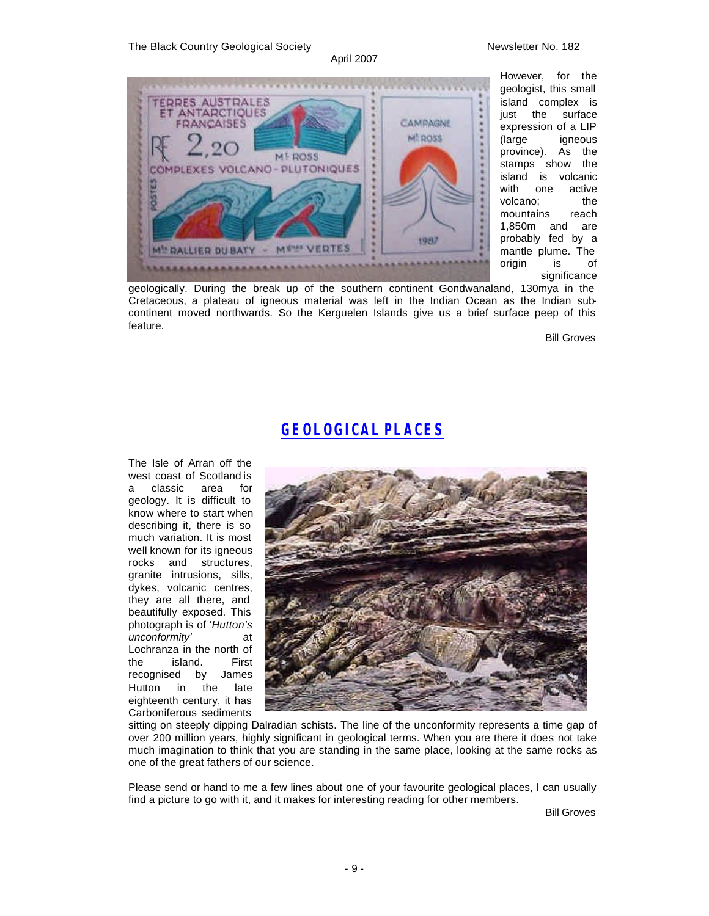#### The Black Country Geological Society Newsletter No. 182

#### April 2007



However, for the geologist, this small island complex is<br>iust the surface just the expression of a LIP (large igneous province). As the stamps show the island is volcanic with one active volcano; the mountains reach 1,850m and are probably fed by a mantle plume. The origin is of significance

geologically. During the break up of the southern continent Gondwanaland, 130mya in the Cretaceous, a plateau of igneous material was left in the Indian Ocean as the Indian subcontinent moved northwards. So the Kerguelen Islands give us a brief surface peep of this feature.

Bill Groves

## *GEOLOGICAL PLACES*

The Isle of Arran off the west coast of Scotland is a classic area for geology. It is difficult to know where to start when describing it, there is so much variation. It is most well known for its igneous rocks and structures, granite intrusions, sills, dykes, volcanic centres, they are all there, and beautifully exposed. This photograph is of '*Hutton's unconformity'* at Lochranza in the north of the island. First recognised by James Hutton in the late eighteenth century, it has Carboniferous sediments



sitting on steeply dipping Dalradian schists. The line of the unconformity represents a time gap of over 200 million years, highly significant in geological terms. When you are there it does not take much imagination to think that you are standing in the same place, looking at the same rocks as one of the great fathers of our science.

Please send or hand to me a few lines about one of your favourite geological places, I can usually find a picture to go with it, and it makes for interesting reading for other members.

Bill Groves